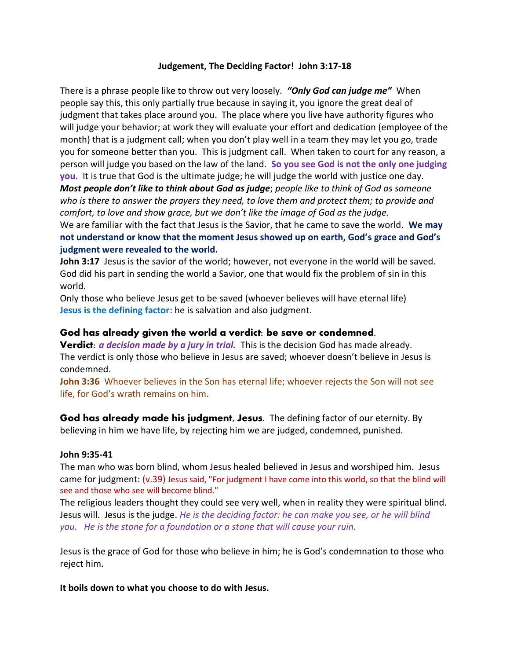## **Judgement, The Deciding Factor! John 3:17-18**

There is a phrase people like to throw out very loosely. *"Only God can judge me"* When people say this, this only partially true because in saying it, you ignore the great deal of judgment that takes place around you. The place where you live have authority figures who will judge your behavior; at work they will evaluate your effort and dedication (employee of the month) that is a judgment call; when you don't play well in a team they may let you go, trade you for someone better than you. This is judgment call. When taken to court for any reason, a person will judge you based on the law of the land. **So you see God is not the only one judging you.** It is true that God is the ultimate judge; he will judge the world with justice one day. *Most people don't like to think about God as judge*; *people like to think of God as someone who is there to answer the prayers they need, to love them and protect them; to provide and* 

*comfort, to love and show grace, but we don't like the image of God as the judge.*

We are familiar with the fact that Jesus is the Savior, that he came to save the world. **We may not understand or know that the moment Jesus showed up on earth, God's grace and God's judgment were revealed to the world.**

**John 3:17** Jesus is the savior of the world; however, not everyone in the world will be saved. God did his part in sending the world a Savior, one that would fix the problem of sin in this world.

Only those who believe Jesus get to be saved (whoever believes will have eternal life) **Jesus is the defining factor**: he is salvation and also judgment.

## **God has already given the world a verdict: be save or condemned.**

**Verdict:** *a decision made by a jury in trial.* This is the decision God has made already. The verdict is only those who believe in Jesus are saved; whoever doesn't believe in Jesus is condemned.

**John 3:36** Whoever believes in the Son has eternal life; whoever rejects the Son will not see life, for God's wrath remains on him.

**God has already made his judgment, Jesus**. The defining factor of our eternity. By believing in him we have life, by rejecting him we are judged, condemned, punished.

## **John 9:35-41**

The man who was born blind, whom Jesus healed believed in Jesus and worshiped him. Jesus came for judgment: (v.39) Jesus said, "For judgment I have come into this world, so that the blind will see and those who see will become blind."

The religious leaders thought they could see very well, when in reality they were spiritual blind. Jesus will. Jesus is the judge. *He is the deciding factor: he can make you see, or he will blind you. He is the stone for a foundation or a stone that will cause your ruin.*

Jesus is the grace of God for those who believe in him; he is God's condemnation to those who reject him.

**It boils down to what you choose to do with Jesus.**